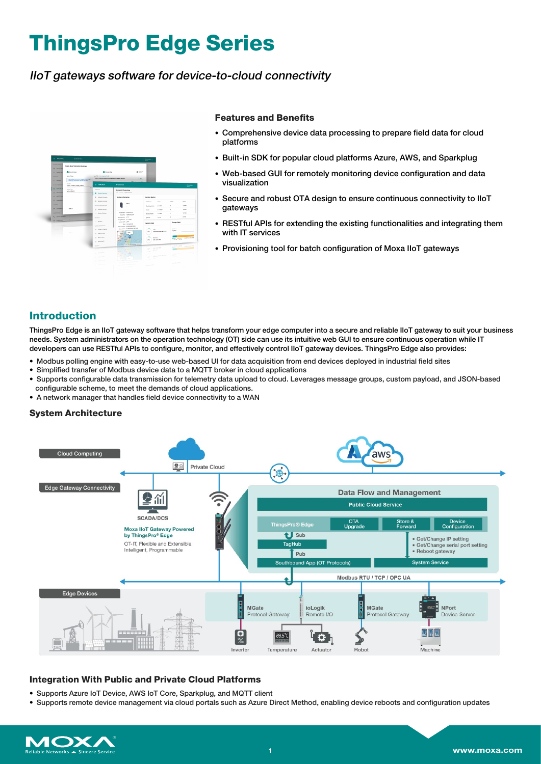# **ThingsPro Edge Series**

# IIoT gateways software for device-to-cloud connectivity



#### **Features and Benefits**

- Comprehensive device data processing to prepare field data for cloud platforms
- Built-in SDK for popular cloud platforms Azure, AWS, and Sparkplug
- Web-based GUI for remotely monitoring device configuration and data visualization
- Secure and robust OTA design to ensure continuous connectivity to IIoT gateways
- RESTful APIs for extending the existing functionalities and integrating them with IT services
- Provisioning tool for batch configuration of Moxa IIoT gateways

# **Introduction**

ThingsPro Edge is an IIoT gateway software that helps transform your edge computer into a secure and reliable IIoT gateway to suit your business needs. System administrators on the operation technology (OT) side can use its intuitive web GUI to ensure continuous operation while IT developers can use RESTful APIs to configure, monitor, and effectively control IIoT gateway devices. ThingsPro Edge also provides:

- Modbus polling engine with easy-to-use web-based UI for data acquisition from end devices deployed in industrial field sites
- Simplified transfer of Modbus device data to a MQTT broker in cloud applications
- Supports configurable data transmission for telemetry data upload to cloud. Leverages message groups, custom payload, and JSON-based configurable scheme, to meet the demands of cloud applications.
- A network manager that handles field device connectivity to a WAN

# **System Architecture**



# **Integration With Public and Private Cloud Platforms**

- Supports Azure IoT Device, AWS IoT Core, Sparkplug, and MQTT client
- Supports remote device management via cloud portals such as Azure Direct Method, enabling device reboots and configuration updates

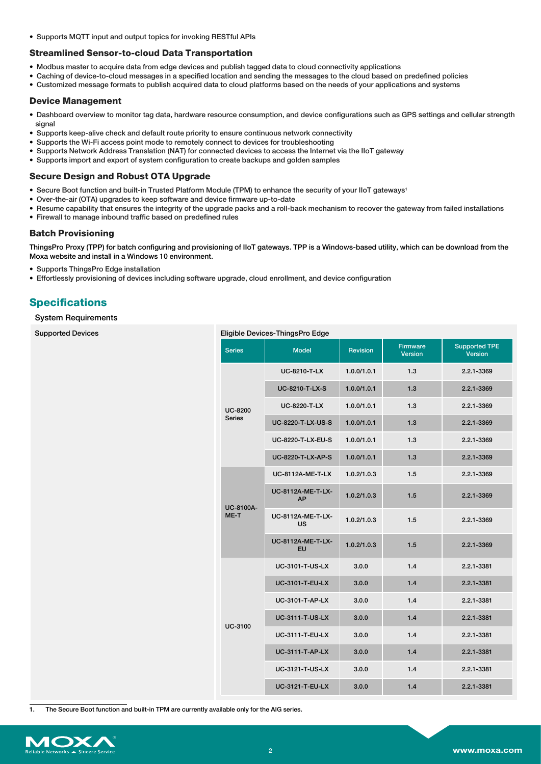• Supports MQTT input and output topics for invoking RESTful APIs

# **Streamlined Sensor-to-cloud Data Transportation**

- Modbus master to acquire data from edge devices and publish tagged data to cloud connectivity applications
- Caching of device-to-cloud messages in a specified location and sending the messages to the cloud based on predefined policies
- Customized message formats to publish acquired data to cloud platforms based on the needs of your applications and systems

### **Device Management**

- Dashboard overview to monitor tag data, hardware resource consumption, and device configurations such as GPS settings and cellular strength signal
- Supports keep-alive check and default route priority to ensure continuous network connectivity
- Supports the Wi-Fi access point mode to remotely connect to devices for troubleshooting
- Supports Network Address Translation (NAT) for connected devices to access the Internet via the IIoT gateway
- Supports import and export of system configuration to create backups and golden samples

# **Secure Design and Robust OTA Upgrade**

- Secure Boot function and built-in Trusted Platform Module (TPM) to enhance the security of your IIoT gateways1
- Over-the-air (OTA) upgrades to keep software and device firmware up-to-date
- Resume capability that ensures the integrity of the upgrade packs and a roll-back mechanism to recover the gateway from failed installations
- Firewall to manage inbound traffic based on predefined rules

# **Batch Provisioning**

ThingsPro Proxy (TPP) for batch configuring and provisioning of IIoT gateways. TPP is a Windows-based utility, which can be download from the Moxa website and install in a Windows 10 environment.

- Supports ThingsPro Edge installation
- Effortlessly provisioning of devices including software upgrade, cloud enrollment, and device configuration

# **Specifications**

Supported Devices

### System Requirements

| Eligible Devices-ThingsPro Edge |                                       |                 |                                   |                                        |  |  |  |  |
|---------------------------------|---------------------------------------|-----------------|-----------------------------------|----------------------------------------|--|--|--|--|
| <b>Series</b>                   | <b>Model</b>                          | <b>Revision</b> | <b>Firmware</b><br><b>Version</b> | <b>Supported TPE</b><br><b>Version</b> |  |  |  |  |
| <b>UC-8200</b><br><b>Series</b> | UC-8210-T-LX                          | 1.0.0/1.0.1     | 1.3                               | 2.2.1-3369                             |  |  |  |  |
|                                 | UC-8210-T-LX-S                        | 1.0.0/1.0.1     | 1.3                               | 2.2.1-3369                             |  |  |  |  |
|                                 | <b>UC-8220-T-LX</b>                   | 1.0.0/1.0.1     | 1.3                               | 2.2.1-3369                             |  |  |  |  |
|                                 | <b>UC-8220-T-LX-US-S</b>              | 1.0.0/1.0.1     | 1.3                               | 2.2.1-3369                             |  |  |  |  |
|                                 | <b>UC-8220-T-LX-EU-S</b>              | 1.0.0/1.0.1     | 1.3                               | 2.2.1-3369                             |  |  |  |  |
|                                 | <b>UC-8220-T-LX-AP-S</b>              | 1.0.0/1.0.1     | 1.3                               | 2.2.1-3369                             |  |  |  |  |
| <b>UC-8100A-</b><br>ME-T        | <b>UC-8112A-ME-T-LX</b>               | 1.0.2/1.0.3     | 1.5                               | 2.2.1-3369                             |  |  |  |  |
|                                 | <b>UC-8112A-ME-T-LX-</b><br>AP        | 1.0.2/1.0.3     | 1.5                               | 2.2.1-3369                             |  |  |  |  |
|                                 | <b>UC-8112A-ME-T-LX-</b><br><b>US</b> | 1.0.2/1.0.3     | 1.5                               | 2.2.1-3369                             |  |  |  |  |
|                                 | UC-8112A-ME-T-LX-<br>EU               | 1.0.2/1.0.3     | 1.5                               | 2.2.1-3369                             |  |  |  |  |
| <b>UC-3100</b>                  | <b>UC-3101-T-US-LX</b>                | 3.0.0           | 1.4                               | 2.2.1-3381                             |  |  |  |  |
|                                 | <b>UC-3101-T-EU-LX</b>                | 3.0.0           | 1.4                               | 2.2.1-3381                             |  |  |  |  |
|                                 | <b>UC-3101-T-AP-LX</b>                | 3.0.0           | 1.4                               | 2.2.1-3381                             |  |  |  |  |
|                                 | <b>UC-3111-T-US-LX</b>                | 3.0.0           | 1.4                               | 2.2.1-3381                             |  |  |  |  |
|                                 | <b>UC-3111-T-EU-LX</b>                | 3.0.0           | 1.4                               | 2.2.1-3381                             |  |  |  |  |
|                                 | <b>UC-3111-T-AP-LX</b>                | 3.0.0           | 1.4                               | 2.2.1-3381                             |  |  |  |  |
|                                 | <b>UC-3121-T-US-LX</b>                | 3.0.0           | 1.4                               | 2.2.1-3381                             |  |  |  |  |
|                                 | <b>UC-3121-T-EU-LX</b>                | 3.0.0           | 1.4                               | 2.2.1-3381                             |  |  |  |  |

1. The Secure Boot function and built-in TPM are currently available only for the AIG series.